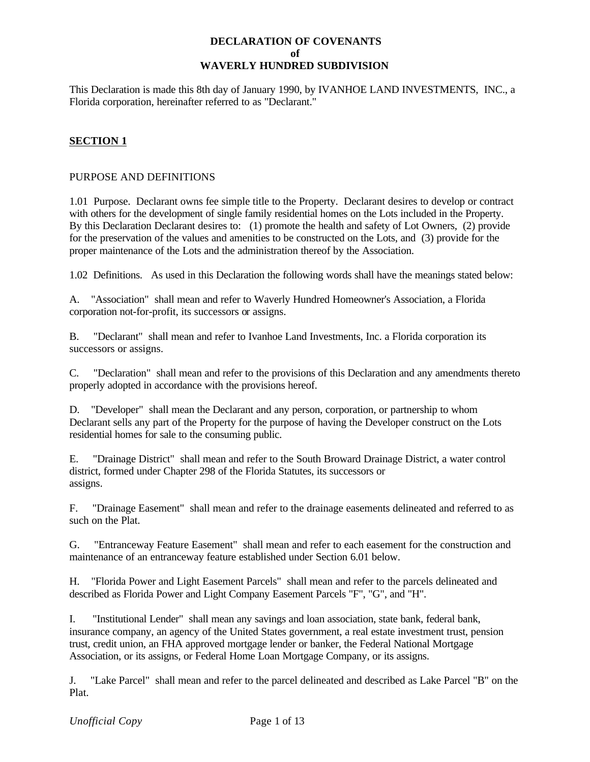### **DECLARATION OF COVENANTS of WAVERLY HUNDRED SUBDIVISION**

This Declaration is made this 8th day of January 1990, by IVANHOE LAND INVESTMENTS, INC., a Florida corporation, hereinafter referred to as "Declarant."

# **SECTION 1**

### PURPOSE AND DEFINITIONS

1.01 Purpose. Declarant owns fee simple title to the Property. Declarant desires to develop or contract with others for the development of single family residential homes on the Lots included in the Property. By this Declaration Declarant desires to: (1) promote the health and safety of Lot Owners, (2) provide for the preservation of the values and amenities to be constructed on the Lots, and (3) provide for the proper maintenance of the Lots and the administration thereof by the Association.

1.02 Definitions. As used in this Declaration the following words shall have the meanings stated below:

A. "Association" shall mean and refer to Waverly Hundred Homeowner's Association, a Florida corporation not-for-profit, its successors or assigns.

B. "Declarant" shall mean and refer to Ivanhoe Land Investments, Inc. a Florida corporation its successors or assigns.

C. "Declaration" shall mean and refer to the provisions of this Declaration and any amendments thereto properly adopted in accordance with the provisions hereof.

D. "Developer" shall mean the Declarant and any person, corporation, or partnership to whom Declarant sells any part of the Property for the purpose of having the Developer construct on the Lots residential homes for sale to the consuming public.

E. "Drainage District" shall mean and refer to the South Broward Drainage District, a water control district, formed under Chapter 298 of the Florida Statutes, its successors or assigns.

F. "Drainage Easement" shall mean and refer to the drainage easements delineated and referred to as such on the Plat.

G. "Entranceway Feature Easement" shall mean and refer to each easement for the construction and maintenance of an entranceway feature established under Section 6.01 below.

H. "Florida Power and Light Easement Parcels" shall mean and refer to the parcels delineated and described as Florida Power and Light Company Easement Parcels "F", "G", and "H".

I. "Institutional Lender" shall mean any savings and loan association, state bank, federal bank, insurance company, an agency of the United States government, a real estate investment trust, pension trust, credit union, an FHA approved mortgage lender or banker, the Federal National Mortgage Association, or its assigns, or Federal Home Loan Mortgage Company, or its assigns.

J. "Lake Parcel" shall mean and refer to the parcel delineated and described as Lake Parcel "B" on the Plat.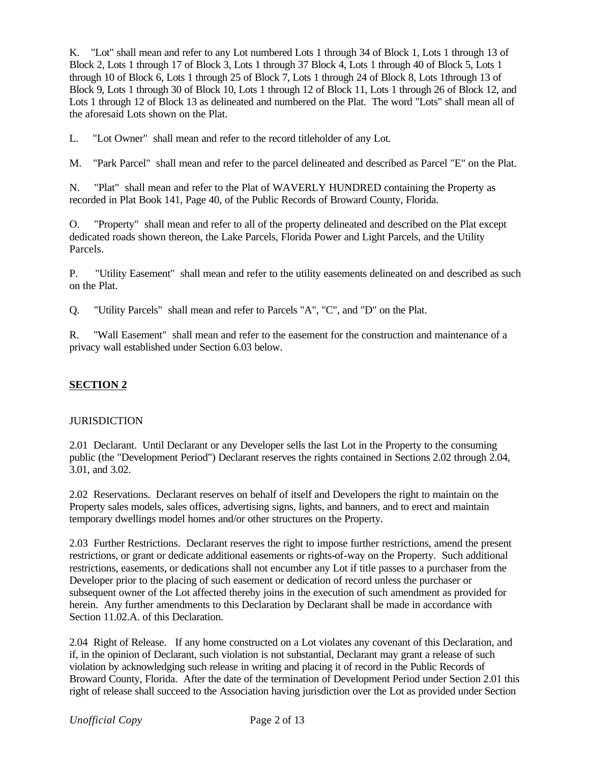K. "Lot" shall mean and refer to any Lot numbered Lots 1 through 34 of Block 1, Lots 1 through 13 of Block 2, Lots 1 through 17 of Block 3, Lots 1 through 37 Block 4, Lots 1 through 40 of Block 5, Lots 1 through 10 of Block 6, Lots 1 through 25 of Block 7, Lots 1 through 24 of Block 8, Lots 1through 13 of Block 9, Lots 1 through 30 of Block 10, Lots 1 through 12 of Block 11, Lots 1 through 26 of Block 12, and Lots 1 through 12 of Block 13 as delineated and numbered on the Plat. The word "Lots" shall mean all of the aforesaid Lots shown on the Plat.

L. "Lot Owner" shall mean and refer to the record titleholder of any Lot.

M. "Park Parcel" shall mean and refer to the parcel delineated and described as Parcel "E" on the Plat.

N. "Plat" shall mean and refer to the Plat of WAVERLY HUNDRED containing the Property as recorded in Plat Book 141, Page 40, of the Public Records of Broward County, Florida.

O. "Property" shall mean and refer to all of the property delineated and described on the Plat except dedicated roads shown thereon, the Lake Parcels, Florida Power and Light Parcels, and the Utility Parcels.

P. "Utility Easement" shall mean and refer to the utility easements delineated on and described as such on the Plat.

Q. "Utility Parcels" shall mean and refer to Parcels "A", "C", and "D" on the Plat.

R. "Wall Easement" shall mean and refer to the easement for the construction and maintenance of a privacy wall established under Section 6.03 below.

## **SECTION 2**

### **JURISDICTION**

2.01 Declarant. Until Declarant or any Developer sells the last Lot in the Property to the consuming public (the "Development Period") Declarant reserves the rights contained in Sections 2.02 through 2.04, 3.01, and 3.02.

2.02 Reservations. Declarant reserves on behalf of itself and Developers the right to maintain on the Property sales models, sales offices, advertising signs, lights, and banners, and to erect and maintain temporary dwellings model homes and/or other structures on the Property.

2.03 Further Restrictions. Declarant reserves the right to impose further restrictions, amend the present restrictions, or grant or dedicate additional easements or rights-of-way on the Property. Such additional restrictions, easements, or dedications shall not encumber any Lot if title passes to a purchaser from the Developer prior to the placing of such easement or dedication of record unless the purchaser or subsequent owner of the Lot affected thereby joins in the execution of such amendment as provided for herein. Any further amendments to this Declaration by Declarant shall be made in accordance with Section 11.02.A. of this Declaration.

2.04 Right of Release. If any home constructed on a Lot violates any covenant of this Declaration, and if, in the opinion of Declarant, such violation is not substantial, Declarant may grant a release of such violation by acknowledging such release in writing and placing it of record in the Public Records of Broward County, Florida. After the date of the termination of Development Period under Section 2.01 this right of release shall succeed to the Association having jurisdiction over the Lot as provided under Section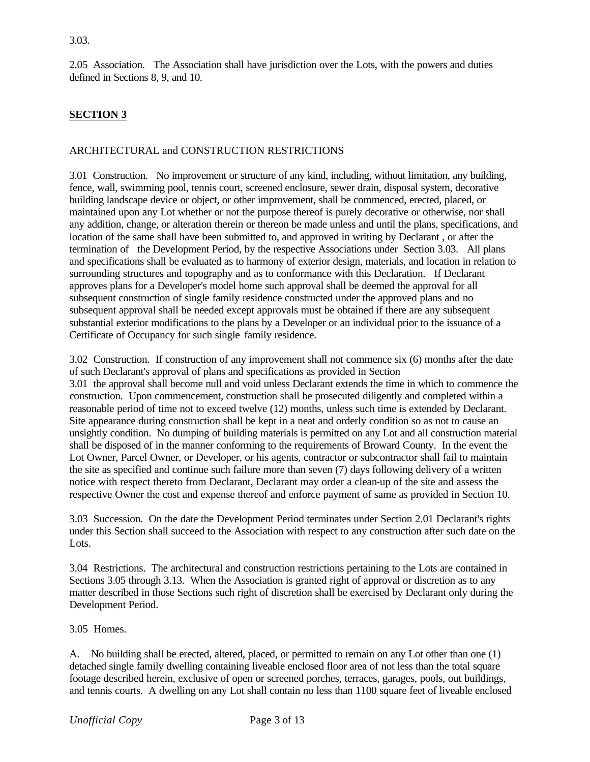2.05 Association. The Association shall have jurisdiction over the Lots, with the powers and duties defined in Sections 8, 9, and 10.

# **SECTION 3**

## ARCHITECTURAL and CONSTRUCTION RESTRICTIONS

3.01 Construction. No improvement or structure of any kind, including, without limitation, any building, fence, wall, swimming pool, tennis court, screened enclosure, sewer drain, disposal system, decorative building landscape device or object, or other improvement, shall be commenced, erected, placed, or maintained upon any Lot whether or not the purpose thereof is purely decorative or otherwise, nor shall any addition, change, or alteration therein or thereon be made unless and until the plans, specifications, and location of the same shall have been submitted to, and approved in writing by Declarant , or after the termination of the Development Period, by the respective Associations under Section 3.03. All plans and specifications shall be evaluated as to harmony of exterior design, materials, and location in relation to surrounding structures and topography and as to conformance with this Declaration. If Declarant approves plans for a Developer's model home such approval shall be deemed the approval for all subsequent construction of single family residence constructed under the approved plans and no subsequent approval shall be needed except approvals must be obtained if there are any subsequent substantial exterior modifications to the plans by a Developer or an individual prior to the issuance of a Certificate of Occupancy for such single family residence.

3.02 Construction. If construction of any improvement shall not commence six (6) months after the date of such Declarant's approval of plans and specifications as provided in Section 3.01 the approval shall become null and void unless Declarant extends the time in which to commence the construction. Upon commencement, construction shall be prosecuted diligently and completed within a reasonable period of time not to exceed twelve (12) months, unless such time is extended by Declarant. Site appearance during construction shall be kept in a neat and orderly condition so as not to cause an unsightly condition. No dumping of building materials is permitted on any Lot and all construction material shall be disposed of in the manner conforming to the requirements of Broward County. In the event the Lot Owner, Parcel Owner, or Developer, or his agents, contractor or subcontractor shall fail to maintain the site as specified and continue such failure more than seven (7) days following delivery of a written notice with respect thereto from Declarant, Declarant may order a clean-up of the site and assess the respective Owner the cost and expense thereof and enforce payment of same as provided in Section 10.

3.03 Succession. On the date the Development Period terminates under Section 2.01 Declarant's rights under this Section shall succeed to the Association with respect to any construction after such date on the Lots.

3.04 Restrictions. The architectural and construction restrictions pertaining to the Lots are contained in Sections 3.05 through 3.13. When the Association is granted right of approval or discretion as to any matter described in those Sections such right of discretion shall be exercised by Declarant only during the Development Period.

3.05 Homes.

A. No building shall be erected, altered, placed, or permitted to remain on any Lot other than one (1) detached single family dwelling containing liveable enclosed floor area of not less than the total square footage described herein, exclusive of open or screened porches, terraces, garages, pools, out buildings, and tennis courts. A dwelling on any Lot shall contain no less than 1100 square feet of liveable enclosed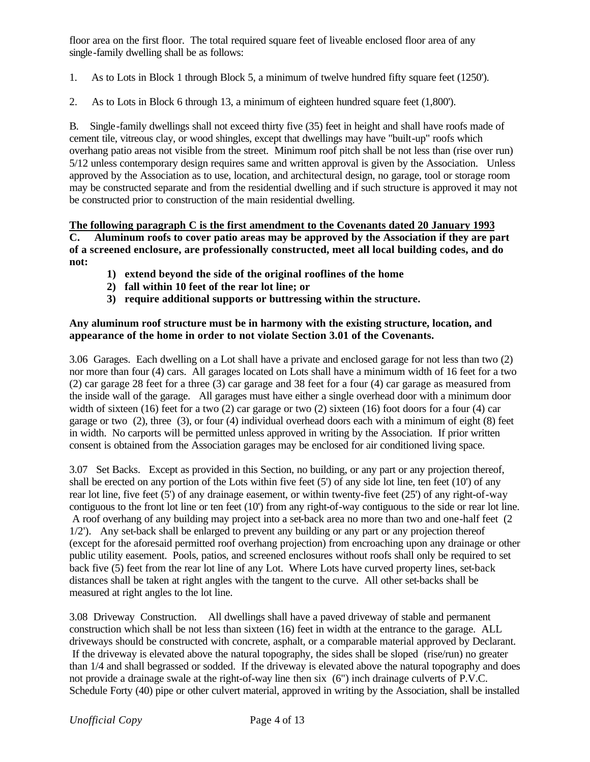floor area on the first floor. The total required square feet of liveable enclosed floor area of any single-family dwelling shall be as follows:

1. As to Lots in Block 1 through Block 5, a minimum of twelve hundred fifty square feet (1250').

2. As to Lots in Block 6 through 13, a minimum of eighteen hundred square feet (1,800').

B. Single-family dwellings shall not exceed thirty five (35) feet in height and shall have roofs made of cement tile, vitreous clay, or wood shingles, except that dwellings may have "built-up" roofs which overhang patio areas not visible from the street. Minimum roof pitch shall be not less than (rise over run) 5/12 unless contemporary design requires same and written approval is given by the Association. Unless approved by the Association as to use, location, and architectural design, no garage, tool or storage room may be constructed separate and from the residential dwelling and if such structure is approved it may not be constructed prior to construction of the main residential dwelling.

**The following paragraph C is the first amendment to the Covenants dated 20 January 1993 C. Aluminum roofs to cover patio areas may be approved by the Association if they are part of a screened enclosure, are professionally constructed, meet all local building codes, and do not:**

- **1) extend beyond the side of the original rooflines of the home**
- **2) fall within 10 feet of the rear lot line; or**
- **3) require additional supports or buttressing within the structure.**

## **Any aluminum roof structure must be in harmony with the existing structure, location, and appearance of the home in order to not violate Section 3.01 of the Covenants.**

3.06 Garages. Each dwelling on a Lot shall have a private and enclosed garage for not less than two (2) nor more than four (4) cars. All garages located on Lots shall have a minimum width of 16 feet for a two (2) car garage 28 feet for a three (3) car garage and 38 feet for a four (4) car garage as measured from the inside wall of the garage. All garages must have either a single overhead door with a minimum door width of sixteen (16) feet for a two (2) car garage or two (2) sixteen (16) foot doors for a four (4) car garage or two (2), three (3), or four (4) individual overhead doors each with a minimum of eight (8) feet in width. No carports will be permitted unless approved in writing by the Association. If prior written consent is obtained from the Association garages may be enclosed for air conditioned living space.

3.07 Set Backs. Except as provided in this Section, no building, or any part or any projection thereof, shall be erected on any portion of the Lots within five feet (5') of any side lot line, ten feet (10') of any rear lot line, five feet (5') of any drainage easement, or within twenty-five feet (25') of any right-of-way contiguous to the front lot line or ten feet (10') from any right-of-way contiguous to the side or rear lot line. A roof overhang of any building may project into a set-back area no more than two and one-half feet (2 1/2'). Any set-back shall be enlarged to prevent any building or any part or any projection thereof (except for the aforesaid permitted roof overhang projection) from encroaching upon any drainage or other public utility easement. Pools, patios, and screened enclosures without roofs shall only be required to set back five (5) feet from the rear lot line of any Lot. Where Lots have curved property lines, set-back distances shall be taken at right angles with the tangent to the curve. All other set-backs shall be measured at right angles to the lot line.

3.08 Driveway Construction. All dwellings shall have a paved driveway of stable and permanent construction which shall be not less than sixteen (16) feet in width at the entrance to the garage. ALL driveways should be constructed with concrete, asphalt, or a comparable material approved by Declarant. If the driveway is elevated above the natural topography, the sides shall be sloped (rise/run) no greater than 1/4 and shall begrassed or sodded. If the driveway is elevated above the natural topography and does not provide a drainage swale at the right-of-way line then six (6") inch drainage culverts of P.V.C. Schedule Forty (40) pipe or other culvert material, approved in writing by the Association, shall be installed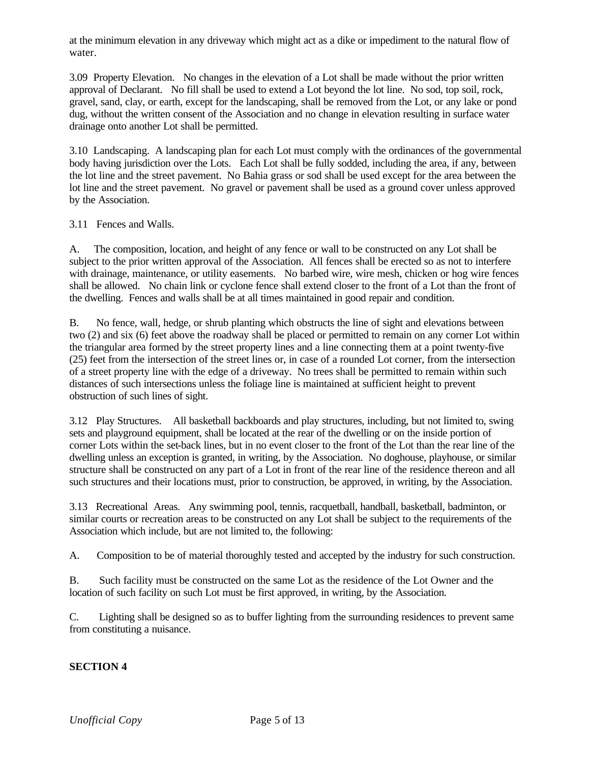at the minimum elevation in any driveway which might act as a dike or impediment to the natural flow of water.

3.09 Property Elevation. No changes in the elevation of a Lot shall be made without the prior written approval of Declarant. No fill shall be used to extend a Lot beyond the lot line. No sod, top soil, rock, gravel, sand, clay, or earth, except for the landscaping, shall be removed from the Lot, or any lake or pond dug, without the written consent of the Association and no change in elevation resulting in surface water drainage onto another Lot shall be permitted.

3.10 Landscaping. A landscaping plan for each Lot must comply with the ordinances of the governmental body having jurisdiction over the Lots. Each Lot shall be fully sodded, including the area, if any, between the lot line and the street pavement. No Bahia grass or sod shall be used except for the area between the lot line and the street pavement. No gravel or pavement shall be used as a ground cover unless approved by the Association.

3.11 Fences and Walls.

A. The composition, location, and height of any fence or wall to be constructed on any Lot shall be subject to the prior written approval of the Association. All fences shall be erected so as not to interfere with drainage, maintenance, or utility easements. No barbed wire, wire mesh, chicken or hog wire fences shall be allowed. No chain link or cyclone fence shall extend closer to the front of a Lot than the front of the dwelling. Fences and walls shall be at all times maintained in good repair and condition.

B. No fence, wall, hedge, or shrub planting which obstructs the line of sight and elevations between two (2) and six (6) feet above the roadway shall be placed or permitted to remain on any corner Lot within the triangular area formed by the street property lines and a line connecting them at a point twenty-five (25) feet from the intersection of the street lines or, in case of a rounded Lot corner, from the intersection of a street property line with the edge of a driveway. No trees shall be permitted to remain within such distances of such intersections unless the foliage line is maintained at sufficient height to prevent obstruction of such lines of sight.

3.12 Play Structures. All basketball backboards and play structures, including, but not limited to, swing sets and playground equipment, shall be located at the rear of the dwelling or on the inside portion of corner Lots within the set-back lines, but in no event closer to the front of the Lot than the rear line of the dwelling unless an exception is granted, in writing, by the Association. No doghouse, playhouse, or similar structure shall be constructed on any part of a Lot in front of the rear line of the residence thereon and all such structures and their locations must, prior to construction, be approved, in writing, by the Association.

3.13 Recreational Areas. Any swimming pool, tennis, racquetball, handball, basketball, badminton, or similar courts or recreation areas to be constructed on any Lot shall be subject to the requirements of the Association which include, but are not limited to, the following:

A. Composition to be of material thoroughly tested and accepted by the industry for such construction.

B. Such facility must be constructed on the same Lot as the residence of the Lot Owner and the location of such facility on such Lot must be first approved, in writing, by the Association.

C. Lighting shall be designed so as to buffer lighting from the surrounding residences to prevent same from constituting a nuisance.

## **SECTION 4**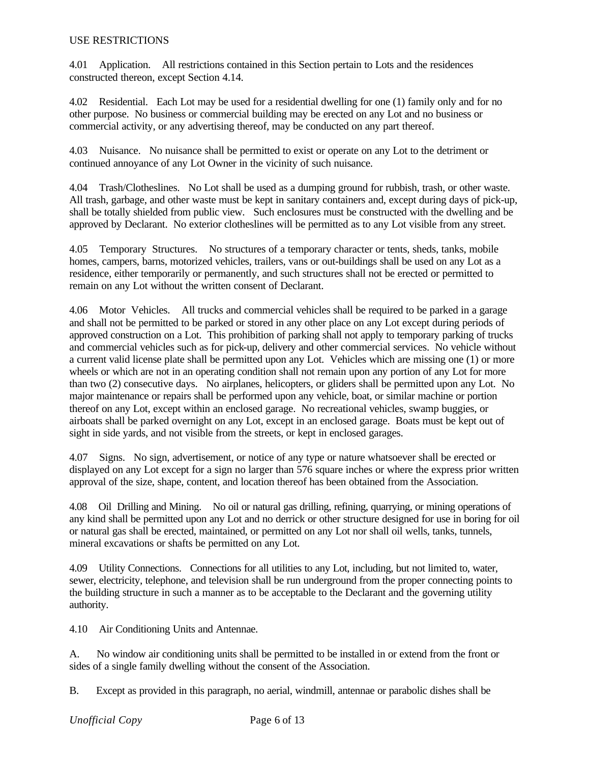#### USE RESTRICTIONS

4.01 Application. All restrictions contained in this Section pertain to Lots and the residences constructed thereon, except Section 4.14.

4.02 Residential. Each Lot may be used for a residential dwelling for one (1) family only and for no other purpose. No business or commercial building may be erected on any Lot and no business or commercial activity, or any advertising thereof, may be conducted on any part thereof.

4.03 Nuisance. No nuisance shall be permitted to exist or operate on any Lot to the detriment or continued annoyance of any Lot Owner in the vicinity of such nuisance.

4.04 Trash/Clotheslines. No Lot shall be used as a dumping ground for rubbish, trash, or other waste. All trash, garbage, and other waste must be kept in sanitary containers and, except during days of pick-up, shall be totally shielded from public view. Such enclosures must be constructed with the dwelling and be approved by Declarant. No exterior clotheslines will be permitted as to any Lot visible from any street.

4.05 Temporary Structures. No structures of a temporary character or tents, sheds, tanks, mobile homes, campers, barns, motorized vehicles, trailers, vans or out-buildings shall be used on any Lot as a residence, either temporarily or permanently, and such structures shall not be erected or permitted to remain on any Lot without the written consent of Declarant.

4.06 Motor Vehicles. All trucks and commercial vehicles shall be required to be parked in a garage and shall not be permitted to be parked or stored in any other place on any Lot except during periods of approved construction on a Lot. This prohibition of parking shall not apply to temporary parking of trucks and commercial vehicles such as for pick-up, delivery and other commercial services. No vehicle without a current valid license plate shall be permitted upon any Lot. Vehicles which are missing one (1) or more wheels or which are not in an operating condition shall not remain upon any portion of any Lot for more than two (2) consecutive days. No airplanes, helicopters, or gliders shall be permitted upon any Lot. No major maintenance or repairs shall be performed upon any vehicle, boat, or similar machine or portion thereof on any Lot, except within an enclosed garage. No recreational vehicles, swamp buggies, or airboats shall be parked overnight on any Lot, except in an enclosed garage. Boats must be kept out of sight in side yards, and not visible from the streets, or kept in enclosed garages.

4.07 Signs. No sign, advertisement, or notice of any type or nature whatsoever shall be erected or displayed on any Lot except for a sign no larger than 576 square inches or where the express prior written approval of the size, shape, content, and location thereof has been obtained from the Association.

4.08 Oil Drilling and Mining. No oil or natural gas drilling, refining, quarrying, or mining operations of any kind shall be permitted upon any Lot and no derrick or other structure designed for use in boring for oil or natural gas shall be erected, maintained, or permitted on any Lot nor shall oil wells, tanks, tunnels, mineral excavations or shafts be permitted on any Lot.

4.09 Utility Connections. Connections for all utilities to any Lot, including, but not limited to, water, sewer, electricity, telephone, and television shall be run underground from the proper connecting points to the building structure in such a manner as to be acceptable to the Declarant and the governing utility authority.

4.10 Air Conditioning Units and Antennae.

A. No window air conditioning units shall be permitted to be installed in or extend from the front or sides of a single family dwelling without the consent of the Association.

B. Except as provided in this paragraph, no aerial, windmill, antennae or parabolic dishes shall be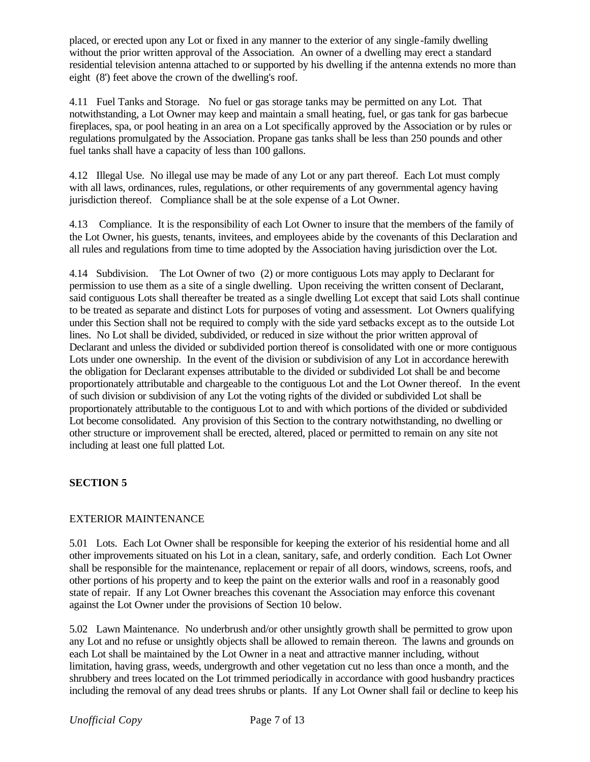placed, or erected upon any Lot or fixed in any manner to the exterior of any single -family dwelling without the prior written approval of the Association. An owner of a dwelling may erect a standard residential television antenna attached to or supported by his dwelling if the antenna extends no more than eight (8') feet above the crown of the dwelling's roof.

4.11 Fuel Tanks and Storage. No fuel or gas storage tanks may be permitted on any Lot. That notwithstanding, a Lot Owner may keep and maintain a small heating, fuel, or gas tank for gas barbecue fireplaces, spa, or pool heating in an area on a Lot specifically approved by the Association or by rules or regulations promulgated by the Association. Propane gas tanks shall be less than 250 pounds and other fuel tanks shall have a capacity of less than 100 gallons.

4.12 Illegal Use. No illegal use may be made of any Lot or any part thereof. Each Lot must comply with all laws, ordinances, rules, regulations, or other requirements of any governmental agency having jurisdiction thereof. Compliance shall be at the sole expense of a Lot Owner.

4.13 Compliance. It is the responsibility of each Lot Owner to insure that the members of the family of the Lot Owner, his guests, tenants, invitees, and employees abide by the covenants of this Declaration and all rules and regulations from time to time adopted by the Association having jurisdiction over the Lot.

4.14 Subdivision. The Lot Owner of two (2) or more contiguous Lots may apply to Declarant for permission to use them as a site of a single dwelling. Upon receiving the written consent of Declarant, said contiguous Lots shall thereafter be treated as a single dwelling Lot except that said Lots shall continue to be treated as separate and distinct Lots for purposes of voting and assessment. Lot Owners qualifying under this Section shall not be required to comply with the side yard setbacks except as to the outside Lot lines. No Lot shall be divided, subdivided, or reduced in size without the prior written approval of Declarant and unless the divided or subdivided portion thereof is consolidated with one or more contiguous Lots under one ownership. In the event of the division or subdivision of any Lot in accordance herewith the obligation for Declarant expenses attributable to the divided or subdivided Lot shall be and become proportionately attributable and chargeable to the contiguous Lot and the Lot Owner thereof. In the event of such division or subdivision of any Lot the voting rights of the divided or subdivided Lot shall be proportionately attributable to the contiguous Lot to and with which portions of the divided or subdivided Lot become consolidated. Any provision of this Section to the contrary notwithstanding, no dwelling or other structure or improvement shall be erected, altered, placed or permitted to remain on any site not including at least one full platted Lot.

## **SECTION 5**

## EXTERIOR MAINTENANCE

5.01 Lots. Each Lot Owner shall be responsible for keeping the exterior of his residential home and all other improvements situated on his Lot in a clean, sanitary, safe, and orderly condition. Each Lot Owner shall be responsible for the maintenance, replacement or repair of all doors, windows, screens, roofs, and other portions of his property and to keep the paint on the exterior walls and roof in a reasonably good state of repair. If any Lot Owner breaches this covenant the Association may enforce this covenant against the Lot Owner under the provisions of Section 10 below.

5.02 Lawn Maintenance. No underbrush and/or other unsightly growth shall be permitted to grow upon any Lot and no refuse or unsightly objects shall be allowed to remain thereon. The lawns and grounds on each Lot shall be maintained by the Lot Owner in a neat and attractive manner including, without limitation, having grass, weeds, undergrowth and other vegetation cut no less than once a month, and the shrubbery and trees located on the Lot trimmed periodically in accordance with good husbandry practices including the removal of any dead trees shrubs or plants. If any Lot Owner shall fail or decline to keep his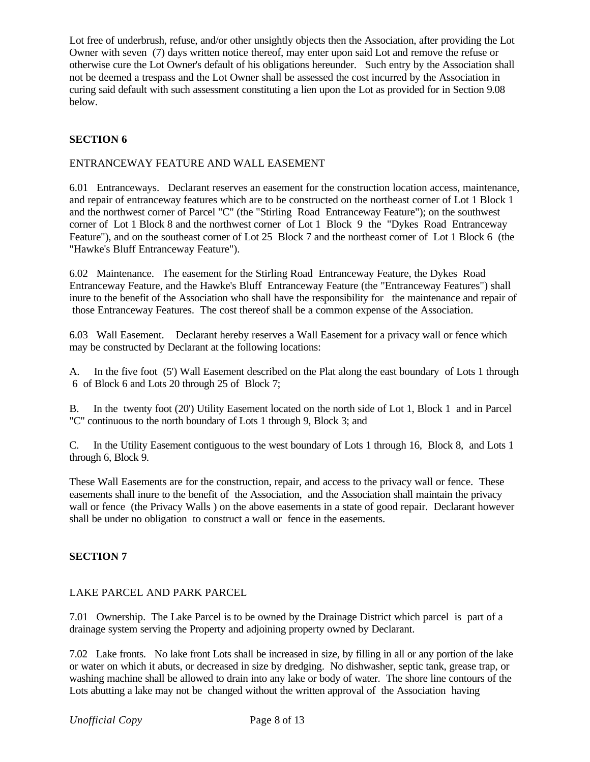Lot free of underbrush, refuse, and/or other unsightly objects then the Association, after providing the Lot Owner with seven (7) days written notice thereof, may enter upon said Lot and remove the refuse or otherwise cure the Lot Owner's default of his obligations hereunder. Such entry by the Association shall not be deemed a trespass and the Lot Owner shall be assessed the cost incurred by the Association in curing said default with such assessment constituting a lien upon the Lot as provided for in Section 9.08 below.

### **SECTION 6**

#### ENTRANCEWAY FEATURE AND WALL EASEMENT

6.01 Entranceways. Declarant reserves an easement for the construction location access, maintenance, and repair of entranceway features which are to be constructed on the northeast corner of Lot 1 Block 1 and the northwest corner of Parcel "C" (the "Stirling Road Entranceway Feature"); on the southwest corner of Lot 1 Block 8 and the northwest corner of Lot 1 Block 9 the "Dykes Road Entranceway Feature"), and on the southeast corner of Lot 25 Block 7 and the northeast corner of Lot 1 Block 6 (the "Hawke's Bluff Entranceway Feature").

6.02 Maintenance. The easement for the Stirling Road Entranceway Feature, the Dykes Road Entranceway Feature, and the Hawke's Bluff Entranceway Feature (the "Entranceway Features") shall inure to the benefit of the Association who shall have the responsibility for the maintenance and repair of those Entranceway Features. The cost thereof shall be a common expense of the Association.

6.03 Wall Easement. Declarant hereby reserves a Wall Easement for a privacy wall or fence which may be constructed by Declarant at the following locations:

A. In the five foot (5') Wall Easement described on the Plat along the east boundary of Lots 1 through 6 of Block 6 and Lots 20 through 25 of Block 7;

B. In the twenty foot (20') Utility Easement located on the north side of Lot 1, Block 1 and in Parcel "C" continuous to the north boundary of Lots 1 through 9, Block 3; and

C. In the Utility Easement contiguous to the west boundary of Lots 1 through 16, Block 8, and Lots 1 through 6, Block 9.

These Wall Easements are for the construction, repair, and access to the privacy wall or fence. These easements shall inure to the benefit of the Association, and the Association shall maintain the privacy wall or fence (the Privacy Walls ) on the above easements in a state of good repair. Declarant however shall be under no obligation to construct a wall or fence in the easements.

### **SECTION 7**

### LAKE PARCEL AND PARK PARCEL

7.01 Ownership. The Lake Parcel is to be owned by the Drainage District which parcel is part of a drainage system serving the Property and adjoining property owned by Declarant.

7.02 Lake fronts. No lake front Lots shall be increased in size, by filling in all or any portion of the lake or water on which it abuts, or decreased in size by dredging. No dishwasher, septic tank, grease trap, or washing machine shall be allowed to drain into any lake or body of water. The shore line contours of the Lots abutting a lake may not be changed without the written approval of the Association having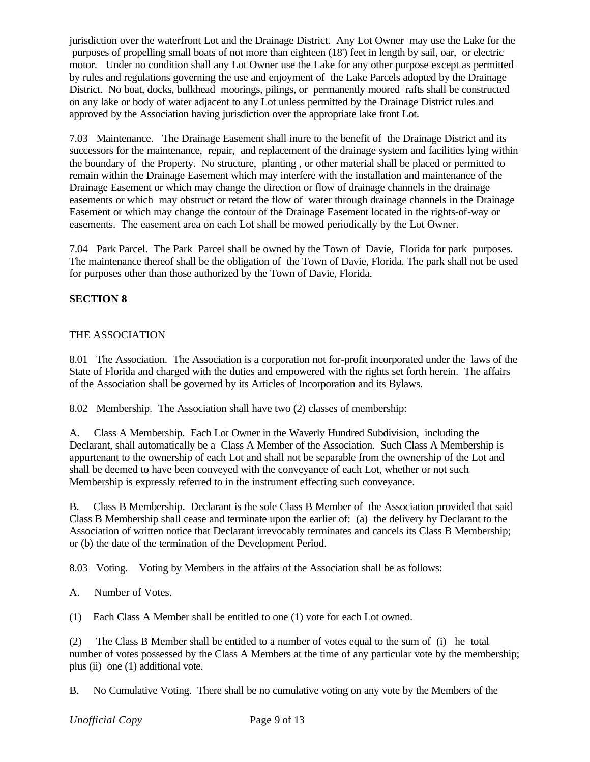jurisdiction over the waterfront Lot and the Drainage District. Any Lot Owner may use the Lake for the purposes of propelling small boats of not more than eighteen (18') feet in length by sail, oar, or electric motor. Under no condition shall any Lot Owner use the Lake for any other purpose except as permitted by rules and regulations governing the use and enjoyment of the Lake Parcels adopted by the Drainage District. No boat, docks, bulkhead moorings, pilings, or permanently moored rafts shall be constructed on any lake or body of water adjacent to any Lot unless permitted by the Drainage District rules and approved by the Association having jurisdiction over the appropriate lake front Lot.

7.03 Maintenance. The Drainage Easement shall inure to the benefit of the Drainage District and its successors for the maintenance, repair, and replacement of the drainage system and facilities lying within the boundary of the Property. No structure, planting , or other material shall be placed or permitted to remain within the Drainage Easement which may interfere with the installation and maintenance of the Drainage Easement or which may change the direction or flow of drainage channels in the drainage easements or which may obstruct or retard the flow of water through drainage channels in the Drainage Easement or which may change the contour of the Drainage Easement located in the rights-of-way or easements. The easement area on each Lot shall be mowed periodically by the Lot Owner.

7.04 Park Parcel. The Park Parcel shall be owned by the Town of Davie, Florida for park purposes. The maintenance thereof shall be the obligation of the Town of Davie, Florida. The park shall not be used for purposes other than those authorized by the Town of Davie, Florida.

## **SECTION 8**

### THE ASSOCIATION

8.01 The Association. The Association is a corporation not for-profit incorporated under the laws of the State of Florida and charged with the duties and empowered with the rights set forth herein. The affairs of the Association shall be governed by its Articles of Incorporation and its Bylaws.

8.02 Membership. The Association shall have two (2) classes of membership:

A. Class A Membership. Each Lot Owner in the Waverly Hundred Subdivision, including the Declarant, shall automatically be a Class A Member of the Association. Such Class A Membership is appurtenant to the ownership of each Lot and shall not be separable from the ownership of the Lot and shall be deemed to have been conveyed with the conveyance of each Lot, whether or not such Membership is expressly referred to in the instrument effecting such conveyance.

B. Class B Membership. Declarant is the sole Class B Member of the Association provided that said Class B Membership shall cease and terminate upon the earlier of: (a) the delivery by Declarant to the Association of written notice that Declarant irrevocably terminates and cancels its Class B Membership; or (b) the date of the termination of the Development Period.

8.03 Voting. Voting by Members in the affairs of the Association shall be as follows:

A. Number of Votes.

(1) Each Class A Member shall be entitled to one (1) vote for each Lot owned.

(2) The Class B Member shall be entitled to a number of votes equal to the sum of (i) he total number of votes possessed by the Class A Members at the time of any particular vote by the membership; plus (ii) one (1) additional vote.

B. No Cumulative Voting. There shall be no cumulative voting on any vote by the Members of the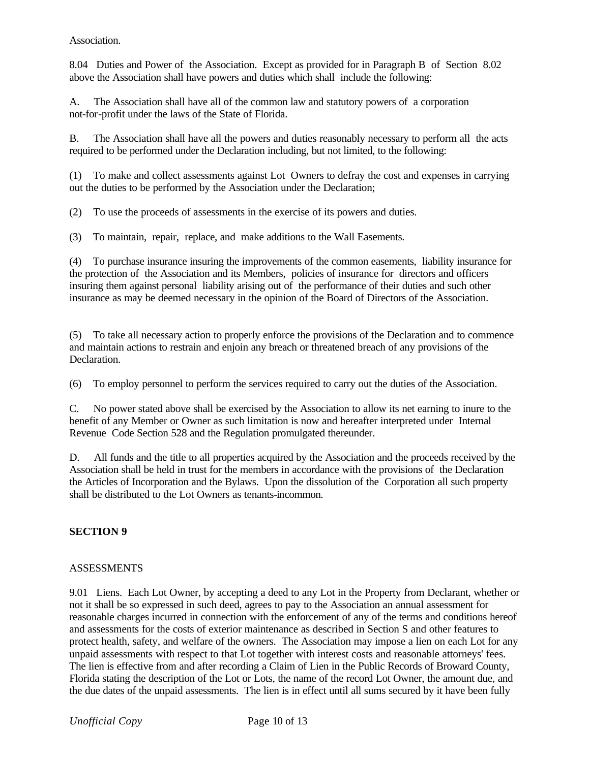Association.

8.04 Duties and Power of the Association. Except as provided for in Paragraph B of Section 8.02 above the Association shall have powers and duties which shall include the following:

A. The Association shall have all of the common law and statutory powers of a corporation not-for-profit under the laws of the State of Florida.

B. The Association shall have all the powers and duties reasonably necessary to perform all the acts required to be performed under the Declaration including, but not limited, to the following:

(1) To make and collect assessments against Lot Owners to defray the cost and expenses in carrying out the duties to be performed by the Association under the Declaration;

(2) To use the proceeds of assessments in the exercise of its powers and duties.

(3) To maintain, repair, replace, and make additions to the Wall Easements.

(4) To purchase insurance insuring the improvements of the common easements, liability insurance for the protection of the Association and its Members, policies of insurance for directors and officers insuring them against personal liability arising out of the performance of their duties and such other insurance as may be deemed necessary in the opinion of the Board of Directors of the Association.

(5) To take all necessary action to properly enforce the provisions of the Declaration and to commence and maintain actions to restrain and enjoin any breach or threatened breach of any provisions of the Declaration.

(6) To employ personnel to perform the services required to carry out the duties of the Association.

C. No power stated above shall be exercised by the Association to allow its net earning to inure to the benefit of any Member or Owner as such limitation is now and hereafter interpreted under Internal Revenue Code Section 528 and the Regulation promulgated thereunder.

D. All funds and the title to all properties acquired by the Association and the proceeds received by the Association shall be held in trust for the members in accordance with the provisions of the Declaration the Articles of Incorporation and the Bylaws. Upon the dissolution of the Corporation all such property shall be distributed to the Lot Owners as tenants-incommon.

### **SECTION 9**

### **ASSESSMENTS**

9.01 Liens. Each Lot Owner, by accepting a deed to any Lot in the Property from Declarant, whether or not it shall be so expressed in such deed, agrees to pay to the Association an annual assessment for reasonable charges incurred in connection with the enforcement of any of the terms and conditions hereof and assessments for the costs of exterior maintenance as described in Section S and other features to protect health, safety, and welfare of the owners. The Association may impose a lien on each Lot for any unpaid assessments with respect to that Lot together with interest costs and reasonable attorneys' fees. The lien is effective from and after recording a Claim of Lien in the Public Records of Broward County, Florida stating the description of the Lot or Lots, the name of the record Lot Owner, the amount due, and the due dates of the unpaid assessments. The lien is in effect until all sums secured by it have been fully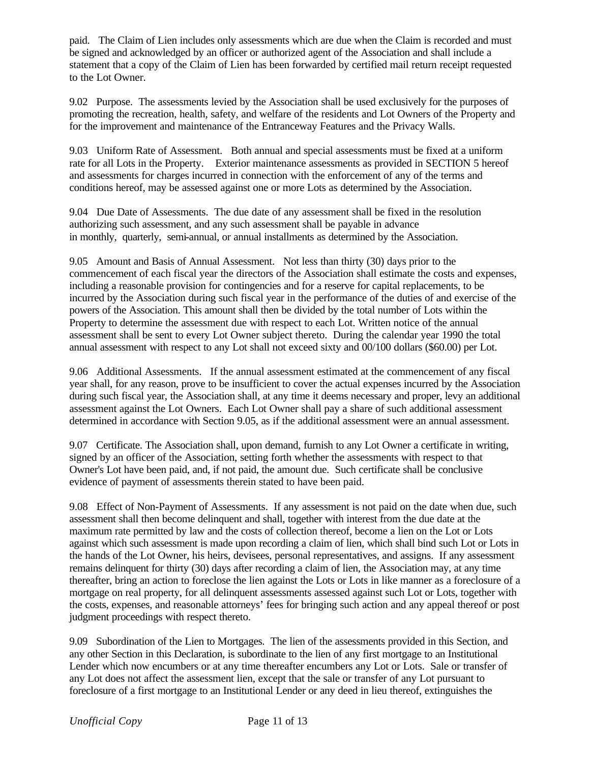paid. The Claim of Lien includes only assessments which are due when the Claim is recorded and must be signed and acknowledged by an officer or authorized agent of the Association and shall include a statement that a copy of the Claim of Lien has been forwarded by certified mail return receipt requested to the Lot Owner.

9.02 Purpose. The assessments levied by the Association shall be used exclusively for the purposes of promoting the recreation, health, safety, and welfare of the residents and Lot Owners of the Property and for the improvement and maintenance of the Entranceway Features and the Privacy Walls.

9.03 Uniform Rate of Assessment. Both annual and special assessments must be fixed at a uniform rate for all Lots in the Property. Exterior maintenance assessments as provided in SECTION 5 hereof and assessments for charges incurred in connection with the enforcement of any of the terms and conditions hereof, may be assessed against one or more Lots as determined by the Association.

9.04 Due Date of Assessments. The due date of any assessment shall be fixed in the resolution authorizing such assessment, and any such assessment shall be payable in advance in monthly, quarterly, semi-annual, or annual installments as determined by the Association.

9.05 Amount and Basis of Annual Assessment. Not less than thirty (30) days prior to the commencement of each fiscal year the directors of the Association shall estimate the costs and expenses, including a reasonable provision for contingencies and for a reserve for capital replacements, to be incurred by the Association during such fiscal year in the performance of the duties of and exercise of the powers of the Association. This amount shall then be divided by the total number of Lots within the Property to determine the assessment due with respect to each Lot. Written notice of the annual assessment shall be sent to every Lot Owner subject thereto. During the calendar year 1990 the total annual assessment with respect to any Lot shall not exceed sixty and 00/100 dollars (\$60.00) per Lot.

9.06 Additional Assessments. If the annual assessment estimated at the commencement of any fiscal year shall, for any reason, prove to be insufficient to cover the actual expenses incurred by the Association during such fiscal year, the Association shall, at any time it deems necessary and proper, levy an additional assessment against the Lot Owners. Each Lot Owner shall pay a share of such additional assessment determined in accordance with Section 9.05, as if the additional assessment were an annual assessment.

9.07 Certificate. The Association shall, upon demand, furnish to any Lot Owner a certificate in writing, signed by an officer of the Association, setting forth whether the assessments with respect to that Owner's Lot have been paid, and, if not paid, the amount due. Such certificate shall be conclusive evidence of payment of assessments therein stated to have been paid.

9.08 Effect of Non-Payment of Assessments. If any assessment is not paid on the date when due, such assessment shall then become delinquent and shall, together with interest from the due date at the maximum rate permitted by law and the costs of collection thereof, become a lien on the Lot or Lots against which such assessment is made upon recording a claim of lien, which shall bind such Lot or Lots in the hands of the Lot Owner, his heirs, devisees, personal representatives, and assigns. If any assessment remains delinquent for thirty (30) days after recording a claim of lien, the Association may, at any time thereafter, bring an action to foreclose the lien against the Lots or Lots in like manner as a foreclosure of a mortgage on real property, for all delinquent assessments assessed against such Lot or Lots, together with the costs, expenses, and reasonable attorneys' fees for bringing such action and any appeal thereof or post judgment proceedings with respect thereto.

9.09 Subordination of the Lien to Mortgages. The lien of the assessments provided in this Section, and any other Section in this Declaration, is subordinate to the lien of any first mortgage to an Institutional Lender which now encumbers or at any time thereafter encumbers any Lot or Lots. Sale or transfer of any Lot does not affect the assessment lien, except that the sale or transfer of any Lot pursuant to foreclosure of a first mortgage to an Institutional Lender or any deed in lieu thereof, extinguishes the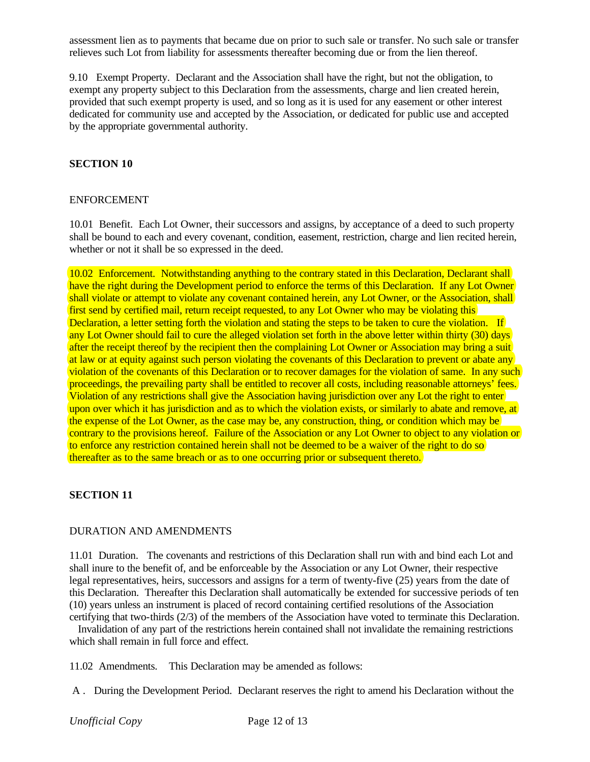assessment lien as to payments that became due on prior to such sale or transfer. No such sale or transfer relieves such Lot from liability for assessments thereafter becoming due or from the lien thereof.

9.10 Exempt Property. Declarant and the Association shall have the right, but not the obligation, to exempt any property subject to this Declaration from the assessments, charge and lien created herein, provided that such exempt property is used, and so long as it is used for any easement or other interest dedicated for community use and accepted by the Association, or dedicated for public use and accepted by the appropriate governmental authority.

### **SECTION 10**

#### ENFORCEMENT

10.01 Benefit. Each Lot Owner, their successors and assigns, by acceptance of a deed to such property shall be bound to each and every covenant, condition, easement, restriction, charge and lien recited herein, whether or not it shall be so expressed in the deed.

10.02 Enforcement. Notwithstanding anything to the contrary stated in this Declaration, Declarant shall have the right during the Development period to enforce the terms of this Declaration. If any Lot Owner shall violate or attempt to violate any covenant contained herein, any Lot Owner, or the Association, shall first send by certified mail, return receipt requested, to any Lot Owner who may be violating this Declaration, a letter setting forth the violation and stating the steps to be taken to cure the violation. If any Lot Owner should fail to cure the alleged violation set forth in the above letter within thirty (30) days after the receipt thereof by the recipient then the complaining Lot Owner or Association may bring a suit at law or at equity against such person violating the covenants of this Declaration to prevent or abate any violation of the covenants of this Declaration or to recover damages for the violation of same. In any such proceedings, the prevailing party shall be entitled to recover all costs, including reasonable attorneys' fees. Violation of any restrictions shall give the Association having jurisdiction over any Lot the right to enter upon over which it has jurisdiction and as to which the violation exists, or similarly to abate and remove, at the expense of the Lot Owner, as the case may be, any construction, thing, or condition which may be contrary to the provisions hereof. Failure of the Association or any Lot Owner to object to any violation or to enforce any restriction contained herein shall not be deemed to be a waiver of the right to do so thereafter as to the same breach or as to one occurring prior or subsequent thereto.

### **SECTION 11**

### DURATION AND AMENDMENTS

11.01 Duration. The covenants and restrictions of this Declaration shall run with and bind each Lot and shall inure to the benefit of, and be enforceable by the Association or any Lot Owner, their respective legal representatives, heirs, successors and assigns for a term of twenty-five (25) years from the date of this Declaration. Thereafter this Declaration shall automatically be extended for successive periods of ten (10) years unless an instrument is placed of record containing certified resolutions of the Association certifying that two-thirds (2/3) of the members of the Association have voted to terminate this Declaration.

 Invalidation of any part of the restrictions herein contained shall not invalidate the remaining restrictions which shall remain in full force and effect.

11.02 Amendments. This Declaration may be amended as follows:

A . During the Development Period. Declarant reserves the right to amend his Declaration without the